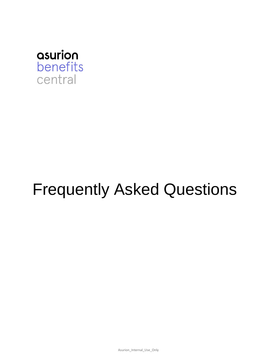

# Frequently Asked Questions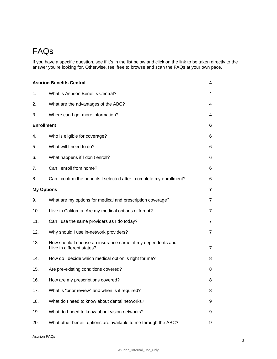## FAQs

If you have a specific question, see if it's in the list below and click on the link to be taken directly to the answer you're looking for. Otherwise, feel free to browse and scan the FAQs at your own pace.

| <b>Asurion Benefits Central</b><br>4 |                                                                                              |                |  |  |
|--------------------------------------|----------------------------------------------------------------------------------------------|----------------|--|--|
| 1.                                   | What is Asurion Benefits Central?                                                            | 4              |  |  |
| 2.                                   | What are the advantages of the ABC?                                                          | 4              |  |  |
| 3.                                   | Where can I get more information?                                                            | 4              |  |  |
| <b>Enrollment</b>                    |                                                                                              |                |  |  |
| 4.                                   | Who is eligible for coverage?                                                                | 6              |  |  |
| 5.                                   | What will I need to do?                                                                      | 6              |  |  |
| 6.                                   | What happens if I don't enroll?                                                              | 6              |  |  |
| 7.                                   | Can I enroll from home?                                                                      | 6              |  |  |
| 8.                                   | Can I confirm the benefits I selected after I complete my enrollment?                        | 6              |  |  |
| <b>My Options</b>                    |                                                                                              |                |  |  |
| 9.                                   | What are my options for medical and prescription coverage?                                   | $\overline{7}$ |  |  |
| 10.                                  | I live in California. Are my medical options different?                                      | $\overline{7}$ |  |  |
| 11.                                  | Can I use the same providers as I do today?                                                  | $\overline{7}$ |  |  |
| 12.                                  | Why should I use in-network providers?                                                       | $\overline{7}$ |  |  |
| 13.                                  | How should I choose an insurance carrier if my dependents and<br>I live in different states? | $\overline{7}$ |  |  |
| 14.                                  | How do I decide which medical option is right for me?                                        | 8              |  |  |
| 15.                                  | Are pre-existing conditions covered?                                                         | 8              |  |  |
| 16.                                  | How are my prescriptions covered?                                                            | 8              |  |  |
| 17.                                  | What is "prior review" and when is it required?                                              | 8              |  |  |
| 18.                                  | What do I need to know about dental networks?                                                | 9              |  |  |
| 19.                                  | What do I need to know about vision networks?                                                | 9              |  |  |
| 20.                                  | What other benefit options are available to me through the ABC?                              | 9              |  |  |

Asurion FAQs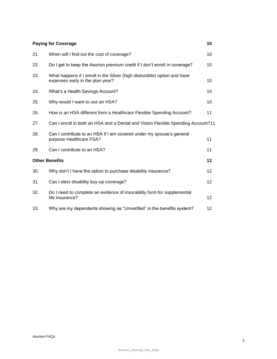| <b>Paying for Coverage</b><br>10 |                                                                                                              |    |  |  |
|----------------------------------|--------------------------------------------------------------------------------------------------------------|----|--|--|
| 21.                              | When will I find out the cost of coverage?                                                                   | 10 |  |  |
| 22.                              | Do I get to keep the Asurion premium credit if I don't enroll in coverage?                                   | 10 |  |  |
| 23.                              | What happens if I enroll in the Silver (high-deductible) option and have<br>expenses early in the plan year? | 10 |  |  |
| 24.                              | What's a Health Savings Account?                                                                             | 10 |  |  |
| 25.                              | Why would I want to use an HSA?                                                                              | 10 |  |  |
| 26.                              | How is an HSA different from a Healthcare Flexible Spending Account?                                         | 11 |  |  |
| 27.                              | Can I enroll in both an HSA and a Dental and Vision Flexible Spending Account?11                             |    |  |  |
| 28.                              | Can I contribute to an HSA if I am covered under my spouse's general<br>purpose Healthcare FSA?              | 11 |  |  |
| 29.                              | Can I contribute to an HSA?                                                                                  | 11 |  |  |
|                                  | <b>Other Benefits</b>                                                                                        | 12 |  |  |
| 30.                              | Why don't I have the option to purchase disability insurance?                                                | 12 |  |  |
| 31.                              | Can I elect disability buy-up coverage?                                                                      | 12 |  |  |
| 32.                              | Do I need to complete an evidence of insurability form for supplemental<br>life insurance?                   | 12 |  |  |
| 33.                              | Why are my dependents showing as "Unverified" in the benefits system?                                        | 12 |  |  |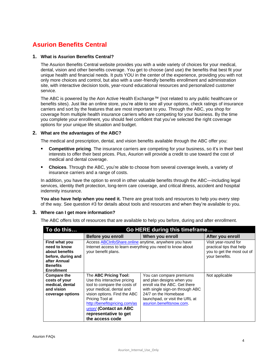## <span id="page-3-0"></span>**Asurion Benefits Central**

#### <span id="page-3-1"></span>**1. What is Asurion Benefits Central?**

The Asurion Benefits Central website provides you with a wide variety of choices for your medical, dental, vision and other benefits coverage. You get to choose (and use) the benefits that best fit your unique health and financial needs. It puts YOU in the center of the experience, providing you with not only more choices and control, but also with a user-friendly benefits enrollment and administration site, with interactive decision tools, year-round educational resources and personalized customer service.

The ABC is powered by the Aon Active Health Exchange™ (not related to any public healthcare or benefits sites). Just like an online store, you're able to see all your options, check ratings of insurance carriers and sort by the features that are most important to you. Through the ABC, you shop for coverage from multiple health insurance carriers who are competing for your business. By the time you complete your enrollment, you should feel confident that you've selected the right coverage options for your unique life situation and budget.

#### <span id="page-3-2"></span>**2. What are the advantages of the ABC?**

The medical and prescription, dental, and vision benefits available through the ABC offer you:

- **Competitive pricing**. The insurance carriers are competing for your business, so it's in their best  $\blacksquare$ interests to offer their best prices. Plus, Asurion will provide a credit to use toward the cost of medical and dental coverage.
- **Choices**. Through the ABC, you're able to choose from several coverage levels, a variety of  $\blacksquare$ insurance carriers and a range of costs.

In addition, you have the option to enroll in other valuable benefits through the ABC—including legal services, identity theft protection, long-term care coverage, and critical illness, accident and hospital indemnity insurance.

**You also have help when you need it.** There are great tools and resources to help you every step of the way. See question #3 for details about tools and resources and when they're available to you.

#### <span id="page-3-3"></span>**3. Where can I get more information?**

The ABC offers lots of resources that are available to help you before, during and after enrollment.

| To do this                                                                                                                    | Go HERE during this timeframe                                                                                                                                                                                                                                               |                                                                                                                                                                                                                 |                                                                                                  |  |
|-------------------------------------------------------------------------------------------------------------------------------|-----------------------------------------------------------------------------------------------------------------------------------------------------------------------------------------------------------------------------------------------------------------------------|-----------------------------------------------------------------------------------------------------------------------------------------------------------------------------------------------------------------|--------------------------------------------------------------------------------------------------|--|
|                                                                                                                               | Before you enroll                                                                                                                                                                                                                                                           | When you enroll                                                                                                                                                                                                 | After you enroll                                                                                 |  |
| Find what you<br>need to know<br>about benefits<br>before, during and<br>after Annual<br><b>Benefits</b><br><b>Enrollment</b> | Access ABCInfoShare.online anytime, anywhere you have<br>Internet access to learn everything you need to know about<br>your benefit plans.                                                                                                                                  |                                                                                                                                                                                                                 | Visit year-round for<br>practical tips that help<br>you to get the most out of<br>your benefits. |  |
| <b>Compare the</b><br>costs of your<br>medical, dental<br>and vision<br>coverage options                                      | The ABC Pricing Tool:<br>Use this interactive pricing<br>tool to compare the costs of<br>your medical, dental and<br>vision options. Find the ABC<br>Pricing Tool at<br>http://benefitspricing.com/as<br>urion/ (Contact an ABC<br>representative to get<br>the access code | You can compare premiums<br>and plan designs when you<br>enroll via the ABC. Get there<br>with single sign-on through ABC<br>24/7 on the Homebase<br>launchpad, or visit the URL at<br>asurion.benefitsnow.com. | Not applicable                                                                                   |  |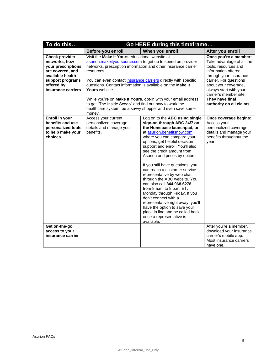| To do this                                                                                                                                                   | Go HERE during this timeframe                                                                                                                                                                                    |                                                                                                                                                                                                                                                                                                                                                                                                                                                                                                                                                                                                                                                                                                      |                                                                                                                                                                                                                                                                                  |  |  |  |
|--------------------------------------------------------------------------------------------------------------------------------------------------------------|------------------------------------------------------------------------------------------------------------------------------------------------------------------------------------------------------------------|------------------------------------------------------------------------------------------------------------------------------------------------------------------------------------------------------------------------------------------------------------------------------------------------------------------------------------------------------------------------------------------------------------------------------------------------------------------------------------------------------------------------------------------------------------------------------------------------------------------------------------------------------------------------------------------------------|----------------------------------------------------------------------------------------------------------------------------------------------------------------------------------------------------------------------------------------------------------------------------------|--|--|--|
|                                                                                                                                                              | Before you enroll                                                                                                                                                                                                | When you enroll                                                                                                                                                                                                                                                                                                                                                                                                                                                                                                                                                                                                                                                                                      | After you enroll                                                                                                                                                                                                                                                                 |  |  |  |
| <b>Check provider</b><br>networks, how<br>your prescriptions<br>are covered, and<br>available health<br>support programs<br>offered by<br>insurance carriers | Visit the Make It Yours educational website at<br>resources.<br>questions. Contact information is available on the Make It<br>Yours website.<br>to get "The Inside Scoop" and find out how to work the<br>money. | asurion.makeityoursource.com to get up to speed on provider<br>networks, prescription information and other insurance carrier<br>You can even contact insurance carriers directly with specific<br>While you're on Make It Yours, opt-in with your email address<br>healthcare system, be a savvy shopper and even save some                                                                                                                                                                                                                                                                                                                                                                         | Once you're a member:<br>Take advantage of all the<br>tools, resources and<br>information offered<br>through your insurance<br>carrier. For questions<br>about your coverage,<br>always start with your<br>carrier's member site.<br>They have final<br>authority on all claims. |  |  |  |
| Enroll in your<br>benefits and use<br>personalized tools<br>to help make your<br>choices                                                                     | Access your current,<br>personalized coverage<br>details and manage your<br>benefits.                                                                                                                            | Log on to the ABC using single<br>sign-on through ABC 24/7 on<br>the Homebase launchpad, or<br>at asurion.benefitsnow.com<br>where you can compare your<br>options, get helpful decision<br>support and enroll. You'll also<br>see the credit amount from<br>Asurion and prices by option.<br>If you still have questions, you<br>can reach a customer service<br>representative by web chat<br>through the ABC website. You<br>can also call 844.968.6278.<br>from 8 a.m. to 8 p.m. ET,<br>Monday through Friday. If you<br>don't connect with a<br>representative right away, you'll<br>have the option to save your<br>place in line and be called back<br>once a representative is<br>available. | Once coverage begins:<br>Access your<br>personalized coverage<br>details and manage your<br>benefits throughout the<br>vear.                                                                                                                                                     |  |  |  |
| Get on-the-go<br>access to your<br>insurance carrier                                                                                                         |                                                                                                                                                                                                                  |                                                                                                                                                                                                                                                                                                                                                                                                                                                                                                                                                                                                                                                                                                      | After you're a member,<br>download your insurance<br>carrier's mobile app.<br>Most insurance carriers<br>have one.                                                                                                                                                               |  |  |  |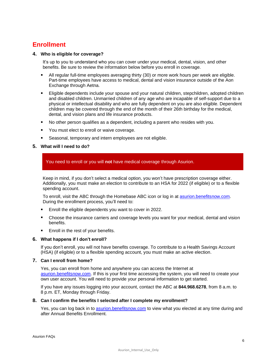## <span id="page-5-0"></span>**Enrollment**

#### <span id="page-5-1"></span>**4. Who is eligible for coverage?**

It's up to you to understand who you can cover under your medical, dental, vision, and other benefits. Be sure to review the information below before you enroll in coverage.

- All regular full-time employees averaging thirty (30) or more work hours per week are eligible. Part-time employees have access to medical, dental and vision insurance outside of the Aon Exchange through Aetna.
- Eligible dependents include your spouse and your natural children, stepchildren, adopted children and disabled children. Unmarried children of any age who are incapable of self-support due to a physical or intellectual disability and who are fully dependent on you are also eligible. Dependent children may be covered through the end of the month of their 26th birthday for the medical, dental, and vision plans and life insurance products.
- No other person qualifies as a dependent, including a parent who resides with you.  $\blacksquare$
- You must elect to enroll or waive coverage.  $\blacksquare$
- Seasonal, temporary and intern employees are not eligible.

#### <span id="page-5-2"></span>**5. What will I need to do?**

You need to enroll or you will **not** have medical coverage through Asurion.

Keep in mind, if you don't select a medical option, you won't have prescription coverage either. Additionally, you must make an election to contribute to an HSA for 2022 (if eligible) or to a flexible spending account.

To enroll, visit the ABC through the Homebase ABC icon or log in at [asurion.benefitsnow.com.](https://asurion.benefitsnow.com/) During the enrollment process, you'll need to:

- Enroll the eligible dependents you want to cover in 2022.
- Choose the insurance carriers and coverage levels you want for your medical, dental and vision benefits.
- Enroll in the rest of your benefits.

#### <span id="page-5-3"></span>**6. What happens if I don't enroll?**

If you don't enroll, you will not have benefits coverage. To contribute to a Health Savings Account (HSA) (if eligible) or to a flexible spending account, you must make an active election.

#### <span id="page-5-4"></span>**7. Can I enroll from home?**

Yes, you can enroll from home and anywhere you can access the Internet at [asurion.benefitsnow.com.](https://asurion.benefitsnow.com/) If this is your first time accessing the system, you will need to create your own user account. You will need to provide your personal information to get started.

If you have any issues logging into your account, contact the ABC at **844.968.6278**, from 8 a.m. to 8 p.m. ET, Monday through Friday.

#### <span id="page-5-5"></span>**8. Can I confirm the benefits I selected after I complete my enrollment?**

Yes, you can log back in to [asurion.benefitsnow.com](https://asurion.benefitsnow.com/) to view what you elected at any time during and after Annual Benefits Enrollment.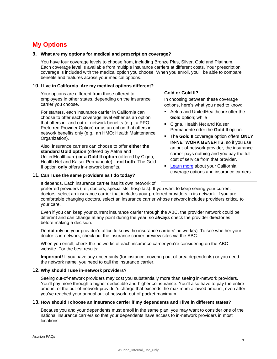## <span id="page-6-0"></span>**My Options**

#### <span id="page-6-1"></span>**9. What are my options for medical and prescription coverage?**

You have four coverage levels to choose from, including Bronze Plus, Silver, Gold and Platinum. Each coverage level is available from multiple insurance carriers at different costs. Your prescription coverage is included with the medical option you choose. When you enroll, you'll be able to compare benefits and features across your medical options.

#### <span id="page-6-2"></span>**10. I live in California. Are my medical options different?**

Your options are different from those offered to employees in other states, depending on the insurance carrier you choose.

For starters, each insurance carrier in California can choose to offer each coverage level either as an option that offers in- and out-of-network benefits (e.g., a PPO: Preferred Provider Option) **or** as an option that offers innetwork benefits only (e.g., an HMO: Health Maintenance Organization).

Also, insurance carriers can choose to offer **either the standard Gold option** (offered by Aetna and UnitedHealthcare) **or a Gold II option** (offered by Cigna, Health Net and Kaiser Permanente)—**not both**. The Gold II option **only** offers in-network benefits.

#### <span id="page-6-3"></span>**11. Can I use the same providers as I do today?**

#### ■ Aetna and UnitedHealthcare offer the **Gold** option; while

**Gold or Gold II?**

Cigna, Health Net and Kaiser Permanente offer the **Gold II** option.

In choosing between these coverage options, here's what you need to know:

- The **Gold II** coverage option offers **ONLY IN-NETWORK BENEFITS**, so if you use an out-of-network provider, the insurance carrier pays nothing and you pay the full cost of service from that provider.
- **[Learn more](https://asurion.makeityoursource.com/medical/california-medical-coverage-level) about your California** coverage options and insurance carriers.

It depends. Each insurance carrier has its own network of preferred providers (i.e., doctors, specialists, hospitals). If you want to keep seeing your current doctors, select an insurance carrier that includes your preferred providers in its network. If you are comfortable changing doctors, select an insurance carrier whose network includes providers critical to

your care. Even if you can keep your current insurance carrier through the ABC, the provider network could be different and can change at any point during the year, so *always* check the provider directories

Do **not** rely on your provider's office to know the insurance carriers' network(s). To see whether your doctor is in-network, check out the insurance carrier preview sites via the ABC.

When you enroll, check the networks of each insurance carrier you're considering on the ABC website. For the best results:

**Important!** If you have any uncertainty (for instance, covering out-of-area dependents) or you need the network name, you need to call the insurance carrier.

#### <span id="page-6-4"></span>**12. Why should I use in-network providers?**

before making a decision.

Seeing out-of-network providers may cost you substantially more than seeing in-network providers. You'll pay more through a higher deductible and higher coinsurance. You'll also have to pay the entire amount of the out-of-network provider's charge that exceeds the maximum allowed amount, even after you've reached your annual out-of-network, out-of-pocket maximum.

#### <span id="page-6-5"></span>**13. How should I choose an insurance carrier if my dependents and I live in different states?**

Because you and your dependents must enroll in the same plan, you may want to consider one of the national insurance carriers so that your dependents have access to in-network providers in most locations.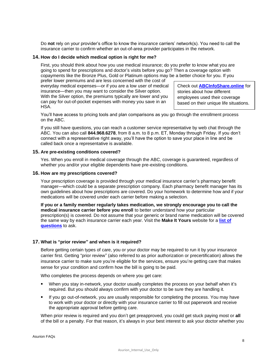Do **not** rely on your provider's office to know the insurance carriers' network(s). You need to call the insurance carrier to confirm whether an out-of-area provider participates in the network.

#### <span id="page-7-0"></span>**14. How do I decide which medical option is right for me?**

First, you should think about how you use medical insurance; do you prefer to know what you are going to spend for prescriptions and doctor's visits before you go? Then a coverage option with copayments like the Bronze Plus, Gold or Platinum options may be a better choice for you. If you

prefer lower premiums and are less concerned with the cost of everyday medical expenses—or if you are a low user of medical insurance—then you may want to consider the Silver option. With the Silver option, the premiums typically are lower and you can pay for out-of-pocket expenses with money you save in an HSA.

Check out **[ABCInfoShare.online](https://sso.alight.com/portal?pageCd=L_VBFEssential)** for stories about how different employees used their coverage based on their unique life situations.

You'll have access to pricing tools and plan comparisons as you go through the enrollment process on the ABC.

If you still have questions, you can reach a customer service representative by web chat through the ABC. You can also call **844.968.6278**, from 8 a.m. to 8 p.m. ET, Monday through Friday. If you don't connect with a representative right away, you'll have the option to save your place in line and be called back once a representative is available.

#### <span id="page-7-1"></span>**15. Are pre-existing conditions covered?**

Yes. When you enroll in medical coverage through the ABC, coverage is guaranteed, regardless of whether you and/or your eligible dependents have pre-existing conditions.

#### <span id="page-7-2"></span>**16. How are my prescriptions covered?**

Your prescription coverage is provided through your medical insurance carrier's pharmacy benefit manager—which could be a separate prescription company. Each pharmacy benefit manager has its own guidelines about how prescriptions are covered. Do your homework to determine how and if your medications will be covered under each carrier before making a selection.

**If you or a family member regularly takes medication, we strongly encourage you to call the medical insurance carrier before you enroll** to better understand how your particular prescription(s) is covered. Do not assume that your generic or brand name medication will be covered the same way by each insurance carrier each year. Visit the **Make It Yours** website for a **[list of](https://asurion.makeityoursource.com/medical/prescription-drug-questions)  [questions](https://asurion.makeityoursource.com/medical/prescription-drug-questions)** to ask.

#### <span id="page-7-3"></span>**17. What is "prior review" and when is it required?**

Before getting certain types of care, you or your doctor may be required to run it by your insurance carrier first. Getting "prior review" (also referred to as prior authorization or precertification) allows the insurance carrier to make sure you're eligible for the services, ensure you're getting care that makes sense for your condition and confirm how the bill is going to be paid.

Who completes the process depends on where you get care:

- When you stay in-network, your doctor usually completes the process on your behalf when it's required. But you should always confirm with your doctor to be sure they are handling it.
- If you go out-of-network, you are usually responsible for completing the process. You may have to work with your doctor or directly with your insurance carrier to fill out paperwork and receive the appropriate approval before getting care.

When prior review is required and you don't get preapproved, you could get stuck paying most or **all**  of the bill or a penalty. For that reason, it's always in your best interest to ask your doctor whether you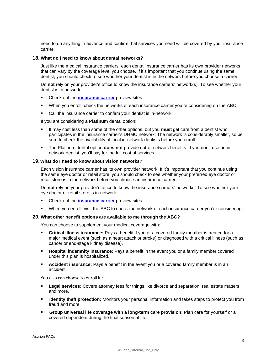need to do anything in advance and confirm that services you need will be covered by your insurance carrier.

#### <span id="page-8-0"></span>**18. What do I need to know about dental networks?**

Just like the medical insurance carriers, each dental insurance carrier has its own provider networks that can vary by the coverage level you choose. If it's important that you continue using the same dentist, you should check to see whether your dentist is in the network before you choose a carrier.

Do **not** rely on your provider's office to know the insurance carriers' network(s). To see whether your dentist is in network:

- Check out the **[insurance carrier](https://asurion.makeityoursource.com/your-carrier-connection)** preview sites.  $\blacksquare$
- $\blacksquare$ When you enroll, check the networks of each insurance carrier you're considering on the ABC.
- Call the insurance carrier to confirm your dentist is in-network.

If you are considering a **Platinum** dental option:

- It may cost less than some of the other options, but you **must** get care from a dentist who participates in the insurance carrier's DHMO network. The network is considerably smaller, so be sure to check the availability of local in-network dentists before you enroll.
- The Platinum dental option **does not** provide out-of-network benefits. If you don't use an in- $\blacksquare$ network dentist, you'll pay for the full cost of services.

#### <span id="page-8-1"></span>**19.What do I need to know about vision networks?**

Each vision insurance carrier has its own provider network. If it's important that you continue using the same eye doctor or retail store, you should check to see whether your preferred eye doctor or retail store is in the network before you choose an insurance carrier.

Do **not** rely on your provider's office to know the insurance carriers' networks. To see whether your eye doctor or retail store is in-network:

- $\blacksquare$ Check out the **[insurance carrier](https://asurion.makeityoursource.com/your-carrier-connection)** preview sites.
- $\blacksquare$ When you enroll, visit the ABC to check the network of each insurance carrier you're considering.

#### <span id="page-8-2"></span>**20. What other benefit options are available to me through the ABC?**

You can choose to supplement your medical coverage with:

- $\blacksquare$ **Critical illness insurance:** Pays a benefit if you or a covered family member is treated for a major medical event (such as a heart attack or stroke) or diagnosed with a critical illness (such as cancer or end-stage kidney disease).
- **Hospital indemnity insurance:** Pays a benefit in the event you or a family member covered under this plan is hospitalized.
- **Accident insurance:** Pays a benefit in the event you or a covered family member is in an accident.

You also can choose to enroll in:

- **Legal services:** Covers attorney fees for things like divorce and separation, real estate matters,  $\blacksquare$ and more.
- **If Identity theft protection:** Monitors your personal information and takes steps to protect you from fraud and more.
- **Group universal life coverage with a long-term care provision:** Plan care for yourself or a covered dependent during the final season of life.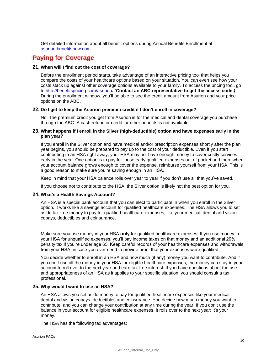Get detailed information about all benefit options during Annual Benefits Enrollment at [asurion.benefitsnow.com.](https://asurion.benefitsnow.com/)

### <span id="page-9-0"></span>**Paying for Coverage**

#### <span id="page-9-1"></span>**21. When will I find out the cost of coverage?**

Before the enrollment period starts, take advantage of an interactive pricing tool that helps you compare the costs of your healthcare options based on your situation. You can even see how your costs stack up against other coverage options available to your family. To access the pricing tool, go to<http://benefitspricing.com/asurion>**.** *(***Contact an ABC representative to get the access code.***)* During the enrollment window, you'll be able to see the credit amount from Asurion and your price options on the ABC.

#### <span id="page-9-2"></span>**22. Do I get to keep the Asurion premium credit if I don't enroll in coverage?**

No. The premium credit you get from Asurion is for the medical and dental coverage you purchase through the ABC. A cash refund or credit for other benefits is not available.

#### <span id="page-9-3"></span>**23. What happens if I enroll in the Silver (high-deductible) option and have expenses early in the plan year?**

If you enroll in the Silver option and have medical and/or prescription expenses shortly after the plan year begins, you should be prepared to pay up to the cost of your deductible. Even if you start contributing to an HSA right away, your HSA may not have enough money to cover costly services early in the year. One option is to pay for those early qualified expenses out of pocket and then, when your account balance grows enough to cover the expense, reimburse yourself from your HSA. This is a good reason to make sure you're saving enough in an HSA.

Keep in mind that your HSA balance rolls over year to year if you don't use all that you've saved.

If you choose not to contribute to the HSA, the Silver option is likely not the best option for you.

#### <span id="page-9-4"></span>**24. What's a Health Savings Account?**

An HSA is a special bank account that you can elect to participate in when you enroll in the Silver option. It works like a savings account for qualified healthcare expenses. The HSA allows you to set aside tax-free money to pay for qualified healthcare expenses, like your medical, dental and vision copays, deductibles and coinsurance.

Make sure you use money in your HSA **only** for qualified healthcare expenses. If you use money in your HSA for unqualified expenses, you'll pay income taxes on that money and an additional 20% penalty tax if you're under age 65. Keep careful records of your healthcare expenses and withdrawals from your HSA, in case you ever need to provide proof that your expenses were qualified.

You decide whether to enroll in an HSA and how much (if any) money you want to contribute. And if you don't use all the money in your HSA for eligible healthcare expenses, the money can stay in your account to roll over to the next year and earn tax-free interest. If you have questions about the use and appropriateness of an HSA as it applies to your specific situation, you should consult a tax professional.

#### <span id="page-9-5"></span>**25. Why would I want to use an HSA?**

An HSA allows you set aside money to pay for qualified healthcare expenses like your medical, dental and vision copays, deductibles and coinsurance. You decide how much money you want to contribute, and you can change your contribution at any time during the year. If you don't use the balance in your account for eligible healthcare expenses, it rolls over to the next year; it's your money.

The HSA has the following tax advantages: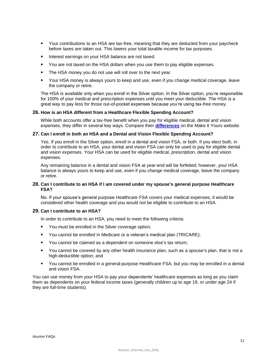- Your contributions to an HSA are tax-free, meaning that they are deducted from your paycheck before taxes are taken out. This lowers your total taxable income for tax purposes.
- Interest earnings on your HSA balance are not taxed.  $\blacksquare$
- $\blacksquare$ You are not taxed on the HSA dollars when you use them to pay eligible expenses.
- The HSA money you do not use will roll over to the next year.
- Your HSA money is always yours to keep and use, even if you change medical coverage, leave the company or retire.

The HSA is available only when you enroll in the Silver option. In the Silver option, you're responsible for 100% of your medical and prescription expenses until you meet your deductible. The HSA is a great way to pay less for those out-of-pocket expenses because you're using tax-free money.

#### <span id="page-10-0"></span>**26. How is an HSA different from a Healthcare Flexible Spending Account?**

While both accounts offer a tax-free benefit when you pay for eligible medical, dental and vision expenses, they differ in several key ways. Compare their **[differences](https://asurion.makeityoursource.com/medical/hsa-vs-fsa)** on the Make It Yours website.

#### <span id="page-10-1"></span>**27. Can I enroll in both an HSA and a Dental and Vision Flexible Spending Account?**

Yes. If you enroll in the Silver option, enroll in a dental and vision FSA, or both. If you elect both, in order to contribute to an HSA, your dental and vision FSA can only be used to pay for eligible dental and vision expenses. Your HSA can be used for eligible medical, prescription, dental and vision expenses.

Any remaining balance in a dental and vision FSA at year-end will be forfeited; however, your HSA balance is always yours to keep and use, even if you change medical coverage, leave the company or retire.

#### <span id="page-10-2"></span>**28. Can I contribute to an HSA if I am covered under my spouse's general purpose Healthcare FSA?**

No. If your spouse's general purpose Healthcare FSA covers your medical expenses, it would be considered other health coverage and you would not be eligible to contribute to an HSA.

#### <span id="page-10-3"></span>**29. Can I contribute to an HSA?**

In order to contribute to an HSA, you need to meet the following criteria:

- **You must be enrolled in the Silver coverage option;**
- You cannot be enrolled in Medicare or a veteran's medical plan (TRICARE);
- You cannot be claimed as a dependent on someone else's tax return;  $\blacksquare$
- You cannot be covered by any other health insurance plan, such as a spouse's plan, that is not a high-deductible option; and
- You cannot be enrolled in a general-purpose Healthcare FSA, but you may be enrolled in a dental and vision FSA.

You can use money from your HSA to pay your dependents' healthcare expenses as long as you claim them as dependents on your federal income taxes (generally children up to age 19, or under age 24 if they are full-time students).